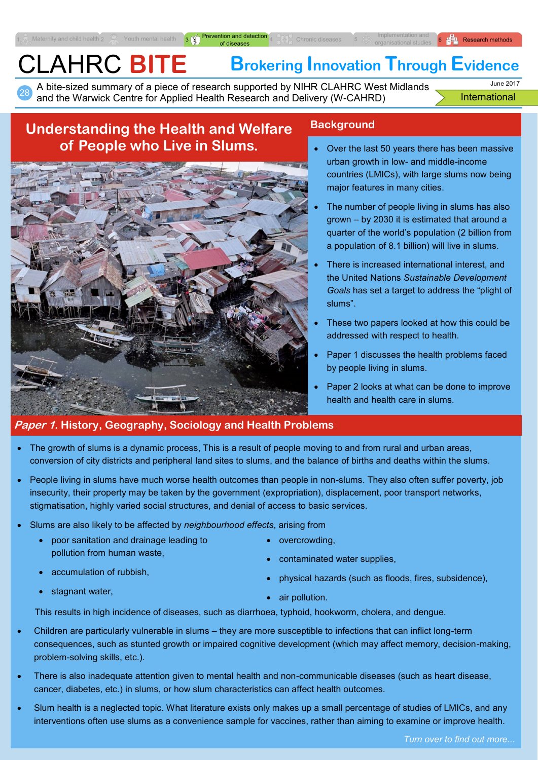A bite-sized summary of a piece of research supported by NIHR CLAHRC West Midlands and the Warwick Centre for Applied Health Research and Delivery (W-CAHRD)

Frevention and detection 4

International June 2017

 $\begin{bmatrix} 6 & 11 \\ 6 & 11 \end{bmatrix}$  Research methods

# **Understanding the Health and Welfare of People who Live in Slums.**

28

Maternity and child health 2



## **Background**

- Over the last 50 years there has been massive urban growth in low- and middle-income countries (LMICs), with large slums now being major features in many cities.
- The number of people living in slums has also grown – by 2030 it is estimated that around a quarter of the world's population (2 billion from a population of 8.1 billion) will live in slums.
- There is increased international interest, and the United Nations *Sustainable Development Goals* has set a target to address the "plight of slums".
- These two papers looked at how this could be addressed with respect to health.
- Paper 1 discusses the health problems faced by people living in slums.
- Paper 2 looks at what can be done to improve health and health care in slums.

## **Paper 1. History, Geography, Sociology and Health Problems**

- The growth of slums is a dynamic process, This is a result of people moving to and from rural and urban areas, conversion of city districts and peripheral land sites to slums, and the balance of births and deaths within the slums.
- People living in slums have much worse health outcomes than people in non-slums. They also often suffer poverty, job insecurity, their property may be taken by the government (expropriation), displacement, poor transport networks, stigmatisation, highly varied social structures, and denial of access to basic services.
- Slums are also likely to be affected by *neighbourhood effects*, arising from
	- poor sanitation and drainage leading to pollution from human waste,
	- accumulation of rubbish,
	- stagnant water.
- overcrowding,
- contaminated water supplies,
- physical hazards (such as floods, fires, subsidence),
- air pollution.

This results in high incidence of diseases, such as diarrhoea, typhoid, hookworm, cholera, and dengue.

- Children are particularly vulnerable in slums they are more susceptible to infections that can inflict long-term consequences, such as stunted growth or impaired cognitive development (which may affect memory, decision-making, problem-solving skills, etc.).
- There is also inadequate attention given to mental health and non-communicable diseases (such as heart disease, cancer, diabetes, etc.) in slums, or how slum characteristics can affect health outcomes.
- Slum health is a neglected topic. What literature exists only makes up a small percentage of studies of LMICs, and any interventions often use slums as a convenience sample for vaccines, rather than aiming to examine or improve health.